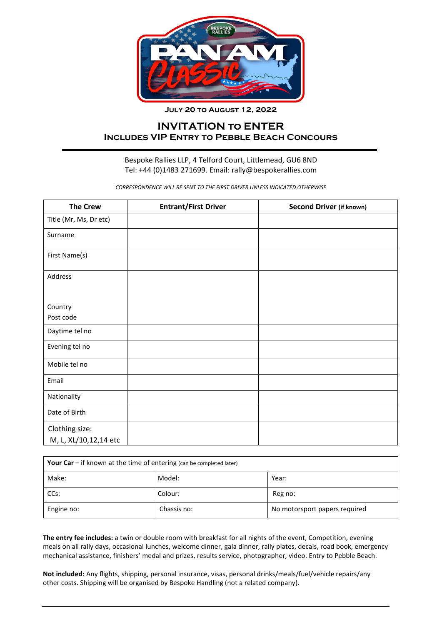

**July 20 to August 12, 2022**

## **INVITATION to ENTER Includes VIP Entry to Pebble Beach Concours**

## Bespoke Rallies LLP, 4 Telford Court, Littlemead, GU6 8ND Tel: +44 (0)1483 271699. Email: rally@bespokerallies.com

*CORRESPONDENCE WILL BE SENT TO THE FIRST DRIVER UNLESS INDICATED OTHERWISE*

| <b>The Crew</b>        | <b>Entrant/First Driver</b> | <b>Second Driver (if known)</b> |
|------------------------|-----------------------------|---------------------------------|
| Title (Mr, Ms, Dr etc) |                             |                                 |
| Surname                |                             |                                 |
| First Name(s)          |                             |                                 |
| Address                |                             |                                 |
|                        |                             |                                 |
| Country                |                             |                                 |
| Post code              |                             |                                 |
| Daytime tel no         |                             |                                 |
| Evening tel no         |                             |                                 |
| Mobile tel no          |                             |                                 |
| Email                  |                             |                                 |
| Nationality            |                             |                                 |
| Date of Birth          |                             |                                 |
| Clothing size:         |                             |                                 |
| M, L, XL/10,12,14 etc  |                             |                                 |

| Your Car $-$ if known at the time of entering (can be completed later) |             |                               |  |  |
|------------------------------------------------------------------------|-------------|-------------------------------|--|--|
| Make:                                                                  | Model:      | Year:                         |  |  |
| CCs:                                                                   | Colour:     | Reg no:                       |  |  |
| Engine no:                                                             | Chassis no: | No motorsport papers required |  |  |

**The entry fee includes:** a twin or double room with breakfast for all nights of the event, Competition, evening meals on all rally days, occasional lunches, welcome dinner, gala dinner, rally plates, decals, road book, emergency mechanical assistance, finishers' medal and prizes, results service, photographer, video. Entry to Pebble Beach.

**Not included:** Any flights, shipping, personal insurance, visas, personal drinks/meals/fuel/vehicle repairs/any other costs. Shipping will be organised by Bespoke Handling (not a related company).